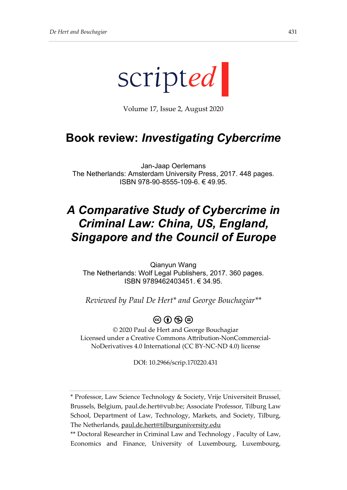

Volume 17, Issue 2, August 2020

## **Book review:** *Investigating Cybercrime*

Jan-Jaap Oerlemans The Netherlands: Amsterdam University Press, 2017. 448 pages. ISBN 978-90-8555-109-6. € 49.95.

# *A Comparative Study of Cybercrime in Criminal Law: China, US, England, Singapore and the Council of Europe*

Qianyun Wang The Netherlands: Wolf Legal Publishers, 2017. 360 pages. ISBN 9789462403451. € 34.95.

*Reviewed by Paul De Hert\* and George Bouchagiar\*\**

## $\circledcirc$  (i)  $\circledcirc$   $\circledcirc$

© 2020 Paul de Hert and George Bouchagiar Licensed under a Creative Commons Attribution-NonCommercial-NoDerivatives 4.0 International (CC BY-NC-ND 4.0) license

DOI: 10.2966/scrip.170220.431

<sup>\*</sup> Professor, Law Science Technology & Society, Vrije Universiteit Brussel, Brussels, Belgium, paul.de.hert@vub.be; Associate Professor, Tilburg Law School, Department of Law, Technology, Markets, and Society, Tilburg, The Netherlands, [paul.de.hert@tilburguniversity.edu](mailto:paul.de.hert@tilburguniversity.edu)

<sup>\*\*</sup> Doctoral Researcher in Criminal Law and Technology , Faculty of Law, Economics and Finance, University of Luxembourg, Luxembourg,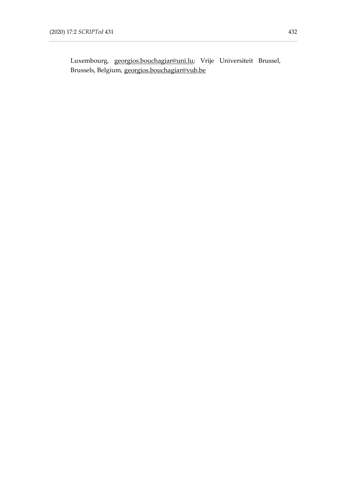Luxembourg, [georgios.bouchagiar@uni.lu;](mailto:georgios.bouchagiar@uni.lu) Vrije Universiteit Brussel, Brussels, Belgium, [georgios.bouchagiar@vub.be](mailto:georgios.bouchagiar@vub.be)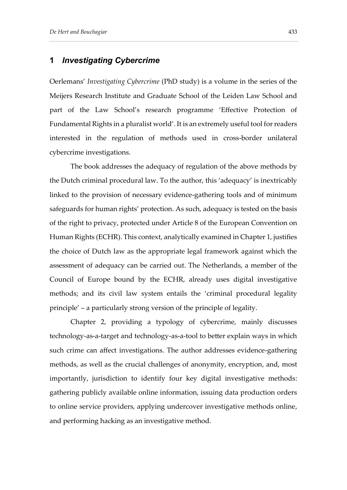### **1** *Investigating Cybercrime*

Oerlemans' *Investigating Cybercrime* (PhD study) is a volume in the series of the Meijers Research Institute and Graduate School of the Leiden Law School and part of the Law School's research programme 'Effective Protection of Fundamental Rights in a pluralist world'. It is an extremely useful tool for readers interested in the regulation of methods used in cross-border unilateral cybercrime investigations.

The book addresses the adequacy of regulation of the above methods by the Dutch criminal procedural law. To the author, this 'adequacy' is inextricably linked to the provision of necessary evidence-gathering tools and of minimum safeguards for human rights' protection. As such, adequacy is tested on the basis of the right to privacy, protected under Article 8 of the European Convention on Human Rights (ECHR). This context, analytically examined in Chapter 1, justifies the choice of Dutch law as the appropriate legal framework against which the assessment of adequacy can be carried out. The Netherlands, a member of the Council of Europe bound by the ECHR, already uses digital investigative methods; and its civil law system entails the 'criminal procedural legality principle' – a particularly strong version of the principle of legality.

Chapter 2, providing a typology of cybercrime, mainly discusses technology-as-a-target and technology-as-a-tool to better explain ways in which such crime can affect investigations. The author addresses evidence-gathering methods, as well as the crucial challenges of anonymity, encryption, and, most importantly, jurisdiction to identify four key digital investigative methods: gathering publicly available online information, issuing data production orders to online service providers, applying undercover investigative methods online, and performing hacking as an investigative method.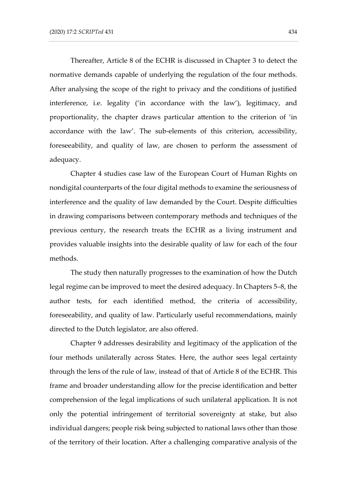Thereafter, Article 8 of the ECHR is discussed in Chapter 3 to detect the normative demands capable of underlying the regulation of the four methods. After analysing the scope of the right to privacy and the conditions of justified interference, i.e. legality ('in accordance with the law'), legitimacy, and proportionality, the chapter draws particular attention to the criterion of 'in accordance with the law'. The sub-elements of this criterion, accessibility, foreseeability, and quality of law, are chosen to perform the assessment of adequacy.

Chapter 4 studies case law of the European Court of Human Rights on nondigital counterparts of the four digital methods to examine the seriousness of interference and the quality of law demanded by the Court. Despite difficulties in drawing comparisons between contemporary methods and techniques of the previous century, the research treats the ECHR as a living instrument and provides valuable insights into the desirable quality of law for each of the four methods.

The study then naturally progresses to the examination of how the Dutch legal regime can be improved to meet the desired adequacy. In Chapters 5–8, the author tests, for each identified method, the criteria of accessibility, foreseeability, and quality of law. Particularly useful recommendations, mainly directed to the Dutch legislator, are also offered.

Chapter 9 addresses desirability and legitimacy of the application of the four methods unilaterally across States. Here, the author sees legal certainty through the lens of the rule of law, instead of that of Article 8 of the ECHR. This frame and broader understanding allow for the precise identification and better comprehension of the legal implications of such unilateral application. It is not only the potential infringement of territorial sovereignty at stake, but also individual dangers; people risk being subjected to national laws other than those of the territory of their location. After a challenging comparative analysis of the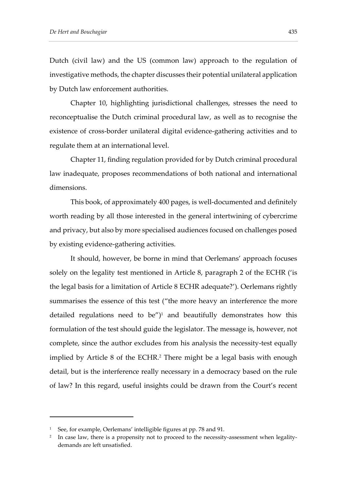Dutch (civil law) and the US (common law) approach to the regulation of investigative methods, the chapter discusses their potential unilateral application by Dutch law enforcement authorities.

Chapter 10, highlighting jurisdictional challenges, stresses the need to reconceptualise the Dutch criminal procedural law, as well as to recognise the existence of cross-border unilateral digital evidence-gathering activities and to regulate them at an international level.

Chapter 11, finding regulation provided for by Dutch criminal procedural law inadequate, proposes recommendations of both national and international dimensions.

This book, of approximately 400 pages, is well-documented and definitely worth reading by all those interested in the general intertwining of cybercrime and privacy, but also by more specialised audiences focused on challenges posed by existing evidence-gathering activities.

It should, however, be borne in mind that Oerlemans' approach focuses solely on the legality test mentioned in Article 8, paragraph 2 of the ECHR ('is the legal basis for a limitation of Article 8 ECHR adequate?'). Oerlemans rightly summarises the essence of this test ("the more heavy an interference the more detailed regulations need to be") <sup>1</sup> and beautifully demonstrates how this formulation of the test should guide the legislator. The message is, however, not complete, since the author excludes from his analysis the necessity-test equally implied by Article 8 of the ECHR. <sup>2</sup> There might be a legal basis with enough detail, but is the interference really necessary in a democracy based on the rule of law? In this regard, useful insights could be drawn from the Court's recent

<sup>&</sup>lt;sup>1</sup> See, for example, Oerlemans' intelligible figures at pp. 78 and 91.

<sup>2</sup> In case law, there is a propensity not to proceed to the necessity-assessment when legalitydemands are left unsatisfied.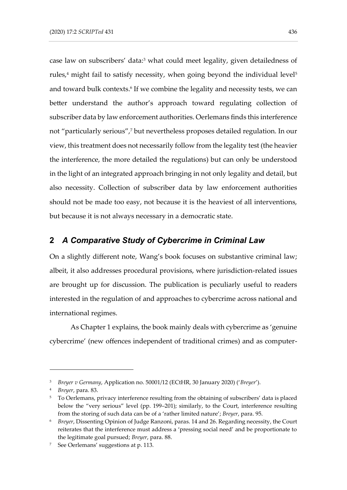case law on subscribers' data: <sup>3</sup> what could meet legality, given detailedness of rules, $4$  might fail to satisfy necessity, when going beyond the individual level<sup>5</sup> and toward bulk contexts. 6 If we combine the legality and necessity tests, we can better understand the author's approach toward regulating collection of subscriber data by law enforcement authorities. Oerlemans finds this interference not "particularly serious", <sup>7</sup> but nevertheless proposes detailed regulation. In our view, this treatment does not necessarily follow from the legality test (the heavier the interference, the more detailed the regulations) but can only be understood in the light of an integrated approach bringing in not only legality and detail, but also necessity. Collection of subscriber data by law enforcement authorities should not be made too easy, not because it is the heaviest of all interventions, but because it is not always necessary in a democratic state.

#### **2** *A Comparative Study of Cybercrime in Criminal Law*

On a slightly different note, Wang's book focuses on substantive criminal law; albeit, it also addresses procedural provisions, where jurisdiction-related issues are brought up for discussion. The publication is peculiarly useful to readers interested in the regulation of and approaches to cybercrime across national and international regimes.

As Chapter 1 explains, the book mainly deals with cybercrime as 'genuine cybercrime' (new offences independent of traditional crimes) and as computer-

<sup>3</sup> *Breyer v Germany*, Application no. 50001/12 (ECtHR, 30 January 2020) ('*Breyer*').

<sup>4</sup> *Breyer*, para. 83.

<sup>&</sup>lt;sup>5</sup> To Oerlemans, privacy interference resulting from the obtaining of subscribers' data is placed below the "very serious" level (pp. 199–201); similarly, to the Court, interference resulting from the storing of such data can be of a 'rather limited nature'; *Breyer*, para. 95.

<sup>6</sup> *Breyer*, Dissenting Opinion of Judge Ranzoni, paras. 14 and 26. Regarding necessity, the Court reiterates that the interference must address a 'pressing social need' and be proportionate to the legitimate goal pursued; *Breyer*, para. 88.

<sup>7</sup> See Oerlemans' suggestions at p. 113.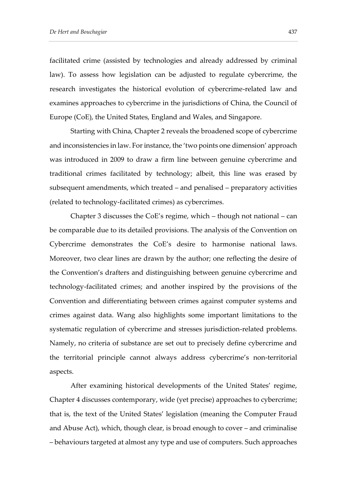facilitated crime (assisted by technologies and already addressed by criminal law). To assess how legislation can be adjusted to regulate cybercrime, the research investigates the historical evolution of cybercrime-related law and examines approaches to cybercrime in the jurisdictions of China, the Council of Europe (CoE), the United States, England and Wales, and Singapore.

Starting with China, Chapter 2 reveals the broadened scope of cybercrime and inconsistencies in law. For instance, the 'two points one dimension' approach was introduced in 2009 to draw a firm line between genuine cybercrime and traditional crimes facilitated by technology; albeit, this line was erased by subsequent amendments, which treated – and penalised – preparatory activities (related to technology-facilitated crimes) as cybercrimes.

Chapter 3 discusses the CoE's regime, which – though not national – can be comparable due to its detailed provisions. The analysis of the Convention on Cybercrime demonstrates the CoE's desire to harmonise national laws. Moreover, two clear lines are drawn by the author; one reflecting the desire of the Convention's drafters and distinguishing between genuine cybercrime and technology-facilitated crimes; and another inspired by the provisions of the Convention and differentiating between crimes against computer systems and crimes against data. Wang also highlights some important limitations to the systematic regulation of cybercrime and stresses jurisdiction-related problems. Namely, no criteria of substance are set out to precisely define cybercrime and the territorial principle cannot always address cybercrime's non-territorial aspects.

After examining historical developments of the United States' regime, Chapter 4 discusses contemporary, wide (yet precise) approaches to cybercrime; that is, the text of the United States' legislation (meaning the Computer Fraud and Abuse Act), which, though clear, is broad enough to cover – and criminalise – behaviours targeted at almost any type and use of computers. Such approaches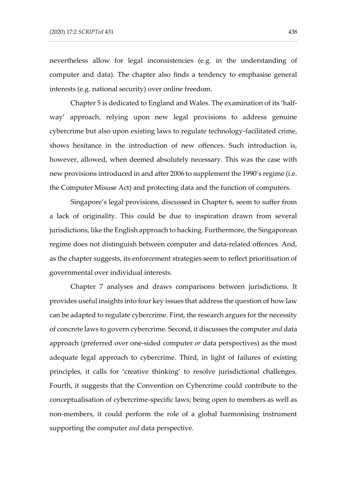nevertheless allow for legal inconsistencies (e.g. in the understanding of computer and data). The chapter also finds a tendency to emphasise general interests (e.g. national security) over online freedom.

Chapter 5 is dedicated to England and Wales. The examination of its 'halfway' approach, relying upon new legal provisions to address genuine cybercrime but also upon existing laws to regulate technology-facilitated crime, shows hesitance in the introduction of new offences. Such introduction is, however, allowed, when deemed absolutely necessary. This was the case with new provisions introduced in and after 2006 to supplement the 1990's regime (i.e. the Computer Misuse Act) and protecting data and the function of computers.

Singapore's legal provisions, discussed in Chapter 6, seem to suffer from a lack of originality. This could be due to inspiration drawn from several jurisdictions, like the English approach to hacking. Furthermore, the Singaporean regime does not distinguish between computer and data-related offences. And, as the chapter suggests, its enforcement strategies seem to reflect prioritisation of governmental over individual interests.

Chapter 7 analyses and draws comparisons between jurisdictions. It provides useful insights into four key issues that address the question of how law can be adapted to regulate cybercrime. First, the research argues for the necessity of concrete laws to govern cybercrime. Second, it discusses the computer *and* data approach (preferred over one-sided computer *or* data perspectives) as the most adequate legal approach to cybercrime. Third, in light of failures of existing principles, it calls for 'creative thinking' to resolve jurisdictional challenges. Fourth, it suggests that the Convention on Cybercrime could contribute to the conceptualisation of cybercrime-specific laws; being open to members as well as non-members, it could perform the role of a global harmonising instrument supporting the computer *and* data perspective.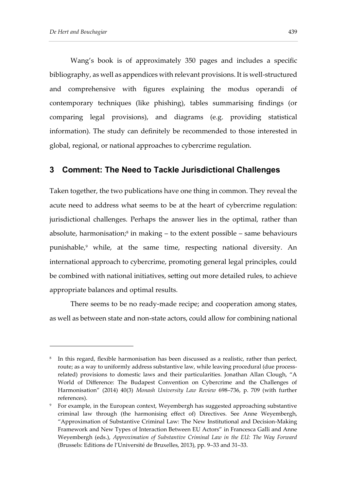Wang's book is of approximately 350 pages and includes a specific bibliography, as well as appendices with relevant provisions. It is well-structured and comprehensive with figures explaining the modus operandi of contemporary techniques (like phishing), tables summarising findings (or comparing legal provisions), and diagrams (e.g. providing statistical information). The study can definitely be recommended to those interested in global, regional, or national approaches to cybercrime regulation.

#### **3 Comment: The Need to Tackle Jurisdictional Challenges**

Taken together, the two publications have one thing in common. They reveal the acute need to address what seems to be at the heart of cybercrime regulation: jurisdictional challenges. Perhaps the answer lies in the optimal, rather than absolute, harmonisation;<sup>8</sup> in making – to the extent possible – same behaviours punishable,<sup>9</sup> while, at the same time, respecting national diversity. An international approach to cybercrime, promoting general legal principles, could be combined with national initiatives, setting out more detailed rules, to achieve appropriate balances and optimal results.

There seems to be no ready-made recipe; and cooperation among states, as well as between state and non-state actors, could allow for combining national

 $^{\circ}$  In this regard, flexible harmonisation has been discussed as a realistic, rather than perfect, route; as a way to uniformly address substantive law, while leaving procedural (due processrelated) provisions to domestic laws and their particularities. Jonathan Allan Clough, "A World of Difference: The Budapest Convention on Cybercrime and the Challenges of Harmonisation" (2014) 40(3) *Monash University Law Review* 698–736, p. 709 (with further references).

<sup>9</sup> For example, in the European context, Weyembergh has suggested approaching substantive criminal law through (the harmonising effect of) Directives. See Anne Weyembergh, "Approximation of Substantive Criminal Law: The New Institutional and Decision-Making Framework and New Types of Interaction Between EU Actors" in Francesca Galli and Anne Weyembergh (eds.), *Approximation of Substantive Criminal Law in the EU: The Way Forward*  (Brussels: Editions de l'Université de Bruxelles, 2013), pp. 9–33 and 31–33.